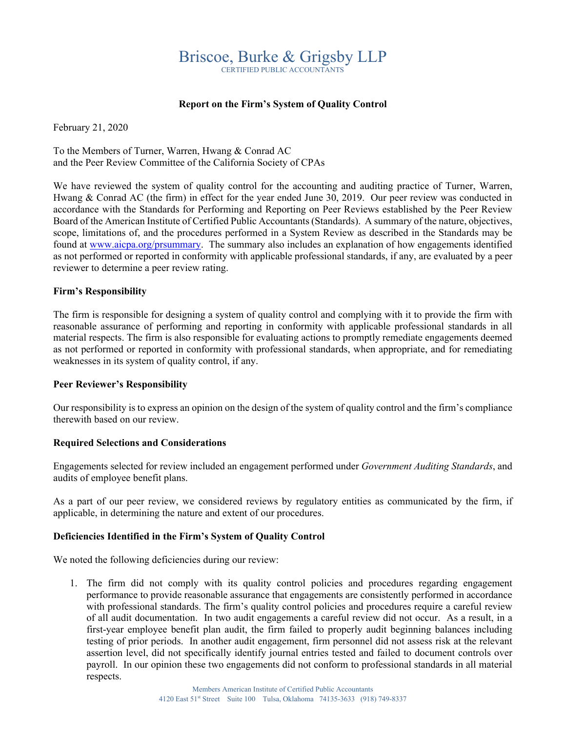# Briscoe, Burke & Grigsby LLP CERTIFIED PUBLIC ACCOUNTANTS

## **Report on the Firm's System of Quality Control**

February 21, 2020

To the Members of Turner, Warren, Hwang & Conrad AC and the Peer Review Committee of the California Society of CPAs

We have reviewed the system of quality control for the accounting and auditing practice of Turner, Warren, Hwang & Conrad AC (the firm) in effect for the year ended June 30, 2019. Our peer review was conducted in accordance with the Standards for Performing and Reporting on Peer Reviews established by the Peer Review Board of the American Institute of Certified Public Accountants (Standards). A summary of the nature, objectives, scope, limitations of, and the procedures performed in a System Review as described in the Standards may be found at www.aicpa.org/prsummary. The summary also includes an explanation of how engagements identified as not performed or reported in conformity with applicable professional standards, if any, are evaluated by a peer reviewer to determine a peer review rating.

#### **Firm's Responsibility**

The firm is responsible for designing a system of quality control and complying with it to provide the firm with reasonable assurance of performing and reporting in conformity with applicable professional standards in all material respects. The firm is also responsible for evaluating actions to promptly remediate engagements deemed as not performed or reported in conformity with professional standards, when appropriate, and for remediating weaknesses in its system of quality control, if any.

#### **Peer Reviewer's Responsibility**

Our responsibility is to express an opinion on the design of the system of quality control and the firm's compliance therewith based on our review.

#### **Required Selections and Considerations**

Engagements selected for review included an engagement performed under *Government Auditing Standards*, and audits of employee benefit plans.

As a part of our peer review, we considered reviews by regulatory entities as communicated by the firm, if applicable, in determining the nature and extent of our procedures.

## **Deficiencies Identified in the Firm's System of Quality Control**

We noted the following deficiencies during our review:

1. The firm did not comply with its quality control policies and procedures regarding engagement performance to provide reasonable assurance that engagements are consistently performed in accordance with professional standards. The firm's quality control policies and procedures require a careful review of all audit documentation. In two audit engagements a careful review did not occur. As a result, in a first-year employee benefit plan audit, the firm failed to properly audit beginning balances including testing of prior periods. In another audit engagement, firm personnel did not assess risk at the relevant assertion level, did not specifically identify journal entries tested and failed to document controls over payroll. In our opinion these two engagements did not conform to professional standards in all material respects.